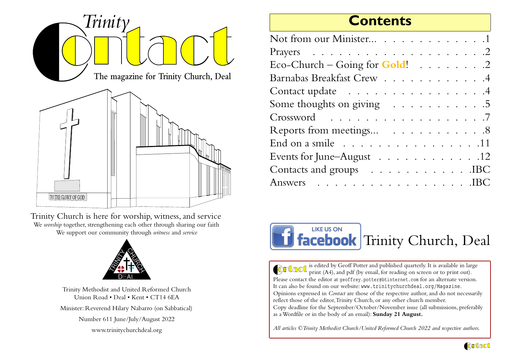

Trinity Church is here for worship, witness, and service We *worship* together, strengthening each other through sharing our faithWe support our community through *witness* and *service*



Trinity Methodist and United Reformed ChurchUnion Road • Deal • Kent • CT14 6EAMinister: Reverend Hilary Nabarro (on Sabbatical)Number 611 June/July/August 2022www.trinitychurchdeal.org

### **Contents**

| Not from our Minister 1                               |
|-------------------------------------------------------|
|                                                       |
| Eco-Church – Going for Gold! $\ldots \ldots \ldots$ . |
| Barnabas Breakfast Crew 4                             |
| Contact update 4                                      |
| Some thoughts on giving 5                             |
| Crossword 7                                           |
| Reports from meetings 8                               |
| End on a smile 11                                     |
| Events for June-August 12                             |
| Contacts and groups IBC                               |
| Answers IBC                                           |
|                                                       |



is edited by Geoff Potter and published quarterly. It is available in large print (A4), and pdf (by email, for reading on screen or to print out). Please contact the editor at geoffrey.potter@btinternet.com for an alternate version.It can also be found on our website: www.trinitychurchdeal.org/Magazine.Opinions expressed in *Contact* are those of the respective author, and do not necessarilyreflect those of the editor, Trinity Church, or any other church member. Copy deadline for the September/October/November issue (all submissions, preferablyas a Wordfile or in the body of an email): **Sunday 21 August.**

*All articles ©Trinity Methodist Church/United Reformed Church 2022 and respective authors.*

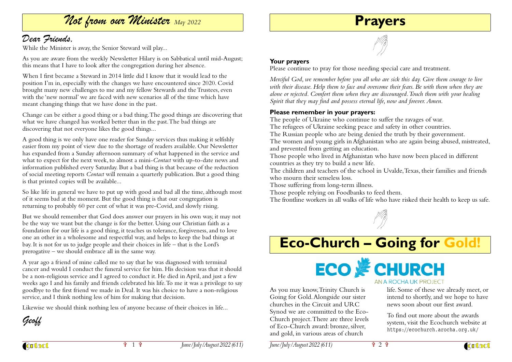### Not from our Minister *May 2022*

### Dear Friends,

While the Minister is away, the Senior Steward will play...

As you are aware from the weekly Newsletter Hilary is on Sabbatical until mid-August;this means that I have to look after the congregation during her absence.

When I first became a Steward in 2014 little did I know that it would lead to the position I'm in, especially with the changes we have encountered since 2020. Covid brought many new challenges to me and my fellow Stewards and the Trustees, even with the 'new normal' we are faced with new scenarios all of the time which havemeant changing things that we have done in the past.

Change can be either a good thing or a bad thing. The good things are discovering thatwhat we have changed has worked better than in the past. The bad things arediscovering that not everyone likes the good things...

A good thing is we only have one reader for Sunday services thus making it selfishly easier from my point of view due to the shortage of readers available. Our Newsletter has expanded from a Sunday afternoon summary of what happened in the service and what to expect for the next week, to almost a mini-*Contact* with up-to-date news and information published every Saturday. But a bad thing is that because of the reduction of social meeting reports *Contact* will remain a quarterly publication. But a good thingis that printed copies will be available...

So like life in general we have to put up with good and bad all the time, although mostof it seems bad at the moment. But the good thing is that our congregation isreturning to probably 60 per cent of what it was pre-Covid, and slowly rising.

But we should remember that God does answer our prayers in his own way, it may notbe the way we want but the change is for the better. Using our Christian faith as a foundation for our life is a good thing, it teaches us tolerance, forgiveness, and to love one an other in a wholesome and respectful way, and helps to keep the bad things atbay. It is not for us to judge people and their choices in life – that is the Lord'sprerogative – we should embrace all in the same way.

A year ago a friend of mine called me to say that he was diagnosed with terminalcancer and would I conduct the funeral service for him. His decision was that it shouldbe a non-religious service and I agreed to conduct it. He died in April, and just a few weeks ago I and his family and friends celebrated his life. To me it was a privilege to saygoodbye to the first friend we made in Deal. It was his choice to have a non-religiousservice, and I think nothing less of him for making that decision.

Likewise we should think nothing less of anyone because of their choices in life...

Geoff

**Contact** 

**Your prayers**

Please continue to pray for those needing special care and treatment.

*Merciful God, we remember before you all who are sick this day. Give them courage to live with their disease. Help them to face and overcome their fears. Be with them when they are alone or rejected. Comfort them when they are discouraged. Touch them with your healingSpirit that they may find and possess eternal life, now and forever. Amen*.

**Prayers**

#### **Please remember in your prayers:**

The people of Ukraine who continue to suffer the ravages of war.

The refugees of Ukraine seeking peace and safety in other countries.

The Russian people who are being denied the truth by their government.

 The women and young girls in Afghanistan who are again being abused, mistreated,and prevented from getting an education.

 Those people who lived in Afghanistan who have now been placed in differentcountries as they try to build a new life.

 The children and teachers of the school in Uvalde, Texas, their families and friendswho mourn their senseless loss.

Those suffering from long-term illness.

Those people relying on Foodbanks to feed them.

The frontline workers in all walks of life who have risked their health to keep us safe.



# **Eco-Church – Going for Gold!**



As you may know, Trinity Church is Going for Gold. Alongside our sisterchurches in the Circuit and URC Synod we are committed to the Eco-Church project. There are three levels of Eco-Church award: bronze, silver,and gold, in various areas of church

life. Some of these we already meet, or intend to shortly, and we hope to havenews soon about our first award.

To find out more about the awards system, visit the Ecochurch website athttps://ecochurch.arocha.org.uk/



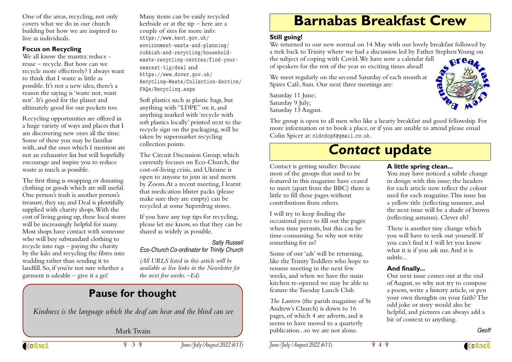One of the areas, recycling, not onlycovers what we do in our church building but how we are inspired tolive as individuals.

#### **Focus on Recycling**

 We all know the mantra: reduce reuse – recycle. But how can we recycle more effectively? I always wantto think that I waste as little as possible. It's not a new idea, there's a reason the saying is 'waste not, wantnot'. It's good for the planet andultimately good for our pockets too.

Recycling opportunities are offered in a huge variety of ways and places that I am discovering new ones all the time.Some of these you may be familiar with, and the ones which I mention are not an exhaustive list but will hopefullyencourage and inspire you to reducewaste as much as possible.

The first thing is swapping or donating clothing or goods which are still useful.One person's trash is another person's treasure, they say, and Deal is plentifullysupplied with charity shops. With the cost of living going up, these local storeswill be increasingly helpful for many. Most shops have contact with someonewho will buy substandard clothing to recycle into rags – paying the charity by the kilo and recycling the fibres intowadding rather than sending it to landfill. So, if you're not sure whether agarment is saleable – give it a go!

Many items can be easily recycled kerbside or at the tip – here are acouple of sites for more info:https://www.kent.gov.uk/ environment-waste-and-planning/ rubbish-and-recycling/householdwaste-recycling-centres/find-yournearest-tip/deal and https://www.dover.gov.uk/ Recycling—Waste/Collection-Service/FAQs/Recycling.aspx

Soft plastics such as plastic bags, butanything with "LDPE" on it, and anything marked with 'recycle with soft plastics locally' printed next to the recycle sign on the packaging, will betaken by supermarket recyclingcollection points.

The Circuit Discussion Group, which currently focuses on Eco-Church, thecost-of-living crisis, and Ukraine is open to anyone to join in and meets by Zoom.At a recent meeting, I learntthat medication blister packs (pleasemake sure they are empty) can berecycled at some Superdrug stores.

If you have any top tips for recycling, please let me know, so that they can beshared as widely as possible.

#### Sally Russell Eco-Church Co-ordinator for Trinity Church

*(All URLS listed in this article will be available as live links in the Newsletter forthe next few weeks. –Ed)*

### **Pause for thought**

*Kindness is the language which the deaf can hear and the blind can see*

### Mark Twain

ነ 3 ነ

**Contact** 

*June/July/August 2022 (611)*

### **Barnabas Breakfast Crew**

#### **Still going!**

 We returned to our new normal on 14 May with our lovely breakfast followed by a trek back to Trinity where we had a discussion led by Father Stephen Young onBrea

the subject of coping with Covid. We have now a calendar fullof speakers for the rest of the year so exciting times ahead!

We meet regularly on the second Saturday of each month atSpires Café, 8am. Our next three meetings are:

Saturday 11 June; Saturday 9 July;Saturday 13 August.

The group is open to all men who like a hearty breakfast and good fellowship. Formore information or to book a place, or if you are unable to attend please emailColin Spicer at: oldcdog8@gmail.co.uk.

# *Contact* **update**



I will try to keep finding the occasional piece to fill out the pageswhen time permits, but this can be time-consuming. So why not writesomething for us?

Some of our 'ads' will be returning, like the Trinity Toddlers who hope toresume meeting in the next few weeks, and when we have the main kitchen re-opened we may be able tofeature the Tuesday Lunch Club.

*The Lantern* (the parish magazine of StAndrew's Church) is down to 16 pages, of which 4 are adverts, and itseems to have moved to a quarterly publication...so we are not alone.

#### **A little spring clean...**

 You may have noticed a subtle changein design with this issue; the headers for each article now reflect the colour used for each magazine. This issue has a yellow title (reflecting summer, and the next issue will be a shade of brown(reflecting autumn). Clever eh?

aba

There is another tiny change which you will have to seek out yourself. If you can't find it I will let you knowwhat it is if you ask me. And it issubtle...

#### **And finally...**

 Our next issue comes out at the end of August, so why not try to compose a poem, write a history article, or pen your own thoughts on your faith? Theodd joke or story would also be helpful, and pictures can always add abit of context to anything.

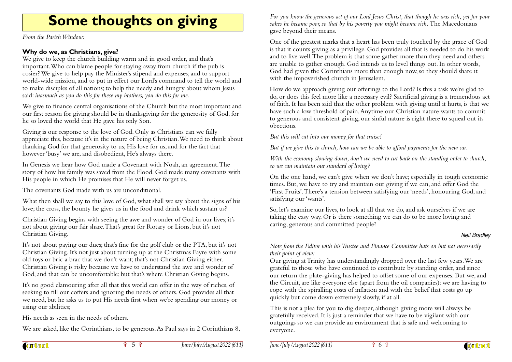# **Some thoughts on giving**

*From the Parish Window:*

#### **Why do we, as Christians, give?**

 We give to keep the church building warm and in good order, and that's important. Who can blame people for staying away from church if the pub is cosier? We give to help pay the Minister's stipend and expenses; and to support world-wide mission, and to put in effect our Lord's command to tell the world andto make disciples of all nations; to help the needy and hungry about whom Jesussaid: *inasmuch as you do this for these my brothers, you do this for me.*

We give to finance central organisations of the Church but the most important and our first reason for giving should be in thanksgiving for the generosity of God, forhe so loved the world that He gave his only Son.

Giving is our response to the love of God. Only as Christians can we fully appreciate this, because it's in the nature of being Christian. We need to think aboutthanking God for that generosity to us; His love for us, and for the fact thathowever 'busy' we are, and disobedient, He's always there.

In Genesis we hear how God made a Covenant with Noah, an agreement. The story of how his family was saved from the Flood. God made many covenants withHis people in which He promises that He will never forget us.

The covenants God made with us are unconditional.

What then shall we say to this love of God, what shall we say about the signs of hislove; the cross, the bounty he gives us in the food and drink which sustain us?

Christian Giving begins with seeing the awe and wonder of God in our lives; it'snot about giving our fair share. That's great for Rotary or Lions, but it's notChristian Giving.

It's not about paying our dues; that's fine for the golf club or the PTA, but it's not Christian Giving. It's not just about turning up at the Christmas Fayre with someold toys or bric a brac that we don't want; that's not Christian Giving either. Christian Giving is risky because we have to understand the awe and wonder ofGod, and that can be uncomfortable; but that's where Christian Giving begins.

It's no good clamouring after all that this world can offer in the way of riches, of seeking to fill our coffers and ignoring the needs of others. God provides all that we need, but he asks us to put His needs first when we're spending our money orusing our abilities;

His needs as seen in the needs of others.

We are asked, like the Corinthians, to be generous. As Paul says in 2 Corinthians 8,

*For you know the generous act of our Lord Jesus Christ, that though he was rich, yet for yoursakes he became poor, so that by his poverty you might become rich.* The Macedoniansgave beyond their means.

One of the greatest marks that a heart has been truly touched by the grace of God is that it counts giving as a privilege. God provides all that is needed to do his workand to live well. The problem is that some gather more than they need and othersare unable to gather enough. God intends us to level things out. In other words, God had given the Corinthians more than enough now, so they should share itwith the impoverished church in Jerusalem.

How do we approach giving our offerings to the Lord? Is this a task we're glad to do, or does this feel more like a necessary evil? Sacrificial giving is a tremendous act of faith. It has been said that the other problem with giving until it hurts, is that we have such a low threshold of pain. Anytime our Christian nature wants to commit to generous and consistent giving, our sinful nature is right there to squeal out itsobections.

*But this will cut into our money for that cruise!*

*But if we give this to church, how can we be able to afford payments for the new car.*

*With the economy slowing down, don't we need to cut back on the standing order to church,so we can maintain our standard of living?*

On the one hand, we can't give when we don't have; especially in tough economictimes. But, we have to try and maintain our giving if we can, and offer God the 'First Fruits'. There's a tension between satisfying our 'needs', honouring God, andsatisfying our 'wants'.

So, let's examine our lives, to look at all that we do, and ask ourselves if we aretaking the easy way. Or is there something we can do to be more loving andcaring, generous and committed people?

#### Neil Bradley

*Note from the Editor with his Trustee and Finance Committee hats on but not necessarilytheir point of view:*

 Our giving at Trinity has understandingly dropped over the last few years. We are grateful to those who have continued to contribute by standing order, and since our return the plate-giving has helped to offset some of our expenses. But we, and the Circuit, are like everyone else (apart from the oil companies): we are having tocope with the spiralling costs of inflation and with the belief that costs go upquickly but come down extremely slowly, if at all.

This is not a plea for you to dig deeper, although giving more will always be gratefully received. It is just a reminder that we have to be vigilant with our outgoings so we can provide an environment that is safe and welcoming toeveryone.

ነ 5 ነ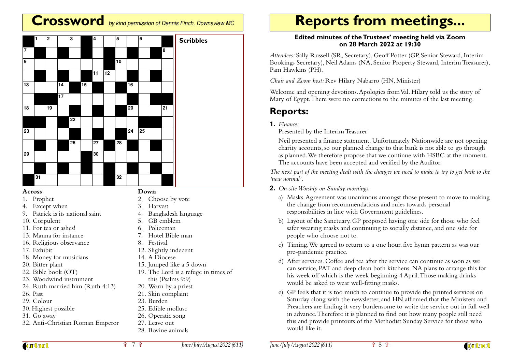### **Crossword** by kind permission of Dennis Finch, Downsview MC

|                         | $\vert$ 1 | $\overline{\mathbf{2}}$ |                 | 3               |    | $\overline{\mathbf{4}}$ |                 | 5               |                 | 6  |    | <b>Scribbles</b> |
|-------------------------|-----------|-------------------------|-----------------|-----------------|----|-------------------------|-----------------|-----------------|-----------------|----|----|------------------|
| $\overline{\mathbf{7}}$ |           |                         |                 |                 |    |                         |                 |                 |                 |    | 8  |                  |
| 9                       |           |                         |                 |                 |    |                         |                 | $\overline{10}$ |                 |    |    |                  |
|                         |           |                         |                 |                 |    | 11                      | $\overline{12}$ |                 |                 |    |    |                  |
| 13                      |           |                         | 14              |                 | 15 |                         |                 |                 | 16              |    |    |                  |
|                         |           |                         | $\overline{17}$ |                 |    |                         |                 |                 |                 |    |    |                  |
| 18                      |           | 19                      |                 |                 |    |                         |                 |                 | $\overline{20}$ |    | 21 |                  |
|                         |           |                         |                 | $\overline{22}$ |    |                         |                 |                 |                 |    |    |                  |
| 23                      |           |                         |                 |                 |    |                         |                 |                 | $\overline{24}$ | 25 |    |                  |
|                         |           |                         |                 | $\overline{26}$ |    | $\overline{27}$         |                 | 28              |                 |    |    |                  |
| 29                      |           |                         |                 |                 |    | 30                      |                 |                 |                 |    |    |                  |
|                         |           |                         |                 |                 |    |                         |                 |                 |                 |    |    |                  |
|                         | 31        |                         |                 |                 |    |                         |                 | 32              |                 |    |    |                  |

#### **Across**

1. Prophet

- 4. Except when
- 9. Patrick is its national saint
- 10. Corpulent
- 11. For tea or ashes!
- 13. Manna for instance
- 16. Religious observance
- 17. Exhibit
- 18. Money for musicians
- 20. Bitter plant
- 22. Bible book (OT)
- 23. Woodwind instrument
- 24. Ruth married him (Ruth 4:13)
- 26. Past
- 29. Colour
- 30. Highest possible
- 31. Go away
- 32. Anti-Christian Roman Emperor

#### 26. Operatic song27. Leave out

25. Edible mollusc

28. Bovine animals

# **Reports from meetings...**

#### **Edited minutes of the Trustees' meeting held via Zoomon 28 March 2022 at 19:30**

*Attendees:* Sally Russell (SR, Secretary), Geoff Potter (GP, Senior Steward, Interim Bookings Secretary), Neil Adams (NA, Senior Property Steward, Interim Treasurer),Pam Hawkins (PH).

*Chair and Zoom host:* Rev Hilary Nabarro (HN, Minister)

Welcome and opening devotions. Apologies from Val. Hilary told us the story ofMary of Egypt. There were no corrections to the minutes of the last meeting.

### **Reports:**

**1.** *Finance:*

Presented by the Interim Teasurer

Neil presented a finance statement. Unfortunately Nationwide are not opening charity accounts, so our planned change to that bank is not able to go through as planned. We therefore propose that we continue with HSBC at the moment.The accounts have been accepted and verified by the Auditor.

*The next part of the meeting dealt with the changes we need to make to try to get back to the'new normal'.*

- **2.** *On-site Worship on Sunday mornings.*
	- a) Masks. Agreement was unanimous amongst those present to move to makingthe change from recommendations and rules towards personalresponsibilities in line with Government guidelines.
	- b) Layout of the Sanctuary. GP proposed having one side for those who feel safer wearing masks and continuing to socially distance, and one side forpeople who choose not to.
	- c) Timing. We agreed to return to a one hour, five hymn pattern as was ourpre-pandemic practice.
	- d) After services. Coffee and tea after the service can continue as soon as we can service, PAT and deep clean both kitchens. NA plans to arrange this forhis week off which is the week beginning 4 April. Those making drinkswould be asked to wear well-fitting masks.
	- e) GP feels that it is too much to continue to provide the printed services on Saturday along with the newsletter, and HN affirmed that the Ministers and Preachers are finding it very burdensome to write the service out in full wellin advance. Therefore it is planned to find out how many people still need this and provide printouts of the Methodist Sunday Service for those whowould like it.

**Contact** 

#### ነ 7 ነ

23. Burden

**Down**

3. Harvest

8. Festival

2. Choose by vote

12. Slightly indecent14. A Diocese

15. Jumped like a 5 down

this (Psalms 9:9) 20. Worn by a priest21. Skin complaint

19. The Lord is a refuge in times of

5. GB emblem 6. Policeman7. Hotel Bible man

4. Bangladesh language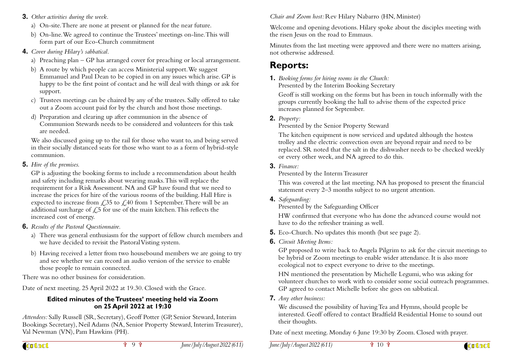- **3.** *Other activities during the week.*
	- a) On-site. There are none at present or planned for the near future.
	- b) On-line. We agreed to continue the Trustees' meetings on-line. This will form part of our Eco-Church commitment
- **4.** *Cover during Hilary's sabbatical.*
	- a) Preaching plan GP has arranged cover for preaching or local arrangement.
	- b) A route by which people can access Ministerial support. We suggest Emmanuel and Paul Dean to be copied in on any issues which arise. GP is happy to be the first point of contact and he will deal with things or ask forsupport.
	- c) Trustees meetings can be chaired by any of the trustees. Sally offered to takeout a Zoom account paid for by the church and host those meetings.
	- d) Preparation and clearing up after communion in the absence of Communion Stewards needs to be considered and volunteers for this taskare needed.

We also discussed going up to the rail for those who want to, and being served in their socially distanced seats for those who want to as a form of hybrid-stylecommunion.

**5.** *Hire of the premises.*

GP is adjusting the booking forms to include a recommendation about healthand safety including remarks about wearing masks. This will replace the requirement for a Risk Assessment. NA and GP have found that we need to increase the prices for hire of the various rooms of the building. Hall Hire isexpected to increase from  $\angle$ ,35 to  $\angle$ ,40 from 1 September. There will be an additional surcharge of  $\zeta$ 5 for use of the main kitchen. This reflects the increased cost of energy.

- **6.** *Results of the Pastoral Questionnaire.*
	- a) There was general enthusiasm for the support of fellow church members andwe have decided to revisit the Pastoral Visting system.
	- b) Having received a letter from two housebound members we are going to tryand see whether we can record an audio version of the service to enablethose people to remain connected.

There was no other business for consideration.

Date of next meeting. 25 April 2022 at 19.30. Closed with the Grace.

#### **Edited minutes of the Trustees' meeting held via Zoomon 25 April 2022 at 19:30**

*Attendees:* Sally Russell (SR, Secretary), Geoff Potter (GP, Senior Steward, Interim Bookings Secretary), Neil Adams (NA, Senior Property Steward, Interim Treasurer),Val Newman (VN), Pam Hawkins (PH).

**Contact** 

*Chair and Zoom host:* Rev Hilary Nabarro (HN, Minister)

Welcome and opening devotions. Hilary spoke about the disciples meeting withthe risen Jesus on the road to Emmaus.

Minutes from the last meeting were approved and there were no matters arising,not otherwise addressed.

### **Reports:**

#### **1.** *Booking forms for hiring rooms in the Church:*

Presented by the Interim Booking Secretary

Geoff is still working on the forms but has been in touch informally with thegroups currently booking the hall to advise them of the expected priceincreases planned for September.

#### **2.** *Property:*

Presented by the Senior Property Steward

The kitchen equipment is now serviced and updated although the hostess trolley and the electric convection oven are beyond repair and need to be replaced. SR noted that the salt in the dishwasher needs to be checked weeklyor every other week, and NA agreed to do this.

#### **3.** *Finance:*

Presented by the Interm Treasurer

This was covered at the last meeting. NA has proposed to present the financialstatement every 2–3 months subject to no urgent attention.

**4.** *Safeguarding:*

Presented by the Safeguarding Officer

HW confirmed that everyone who has done the advanced course would nothave to do the refresher training as well.

- **5.** Eco-Church. No updates this month (but see page 2).
- **6.** *Circuit Meeting Items:*

GP proposed to write back to Angela Pilgrim to ask for the circuit meetings tobe hybrid or Zoom meetings to enable wider attendance. It is also moreecological not to expect everyone to drive to the meetings.

HN mentioned the presentation by Michelle Legumi, who was asking for volunteer churches to work with to consider some social outreach programmes.GP agreed to contact Michelle before she goes on sabbatical.

**7.** *Any other business:*

We discussed the possibility of having Tea and Hymns, should people be interested. Geoff offered to contact Bradfield Residential Home to sound outtheir thoughts.

Date of next meeting. Monday 6 June 19:30 by Zoom. Closed with prayer.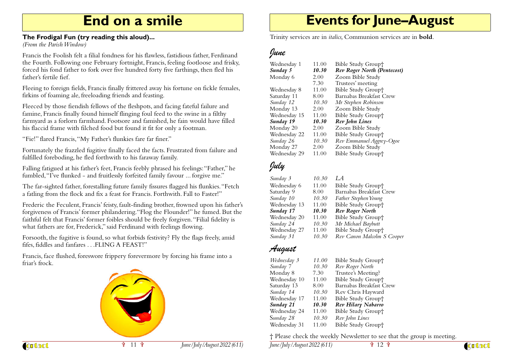### **End on a smile**

#### **The Frodigal Fun (try reading this aloud)...**

*(From the Parish Window)*

Francis the Foolish felt a filial fondness for his flawless, fastidious father, Ferdinand the Fourth. Following one February fortnight, Francis, feeling footloose and frisky,forced his fond father to fork over five hundred forty five farthings, then fled hisfather's fertile fief.

Fleeing to foreign fields, Francis finally frittered away his fortune on fickle females,firkins of foaming ale, freeloading friends and feasting.

Fleeced by those fiendish fellows of the fleshpots, and facing fateful failure and famine, Francis finally found himself flinging foul feed to the swine in a filthy farmyard as a forlorn farmhand. Footsore and famished, he fain would have filledhis flaccid frame with filched food but found it fit for only a footman.

"Fie!" flared Francis, "My Father's flunkies fare far finer."

Fortunately the frazzled fugitive finally faced the facts. Frustrated from failure andfulfilled foreboding, he fled forthwith to his faraway family.

Falling fatigued at his father's feet, Francis feebly phrased his feelings: "Father," hefumbled, "I've flunked - and fruitlessly forfeited family favour ... forgive me."

The far-sighted father, forestalling future family fissures flagged his flunkies. "Fetcha fatling from the flock and fix a feast for Francis. Forthwith. Fall to Faster!"

Frederic the Feculent, Francis' feisty, fault-finding brother, frowned upon his father's forgiveness of Francis' former philandering."Flog the Flounder!" he fumed. But thefaithful felt that Francis' former foibles should be freely forgiven. "Filial fidelity iswhat fathers are for, Frederick," said Ferdinand with feelings flowing.

Forsooth, the fugitive is found, so what forbids festivity? Fly the flags freely, amidfifes, fiddles and fanfares . . .FLING A FEAST!"

Francis, face flushed, foreswore frippery forevermore by forcing his frame into afriar's frock.



# **Events for June–August**

Trinity services are in *italics,* Communion services are in **bold**.

### June

| Wednesday 1  | 11.00 | Bible Study Group†                 |
|--------------|-------|------------------------------------|
| Sunday 5     | 10.30 | <b>Rev Roger North (Pentecost)</b> |
| Monday 6     | 2.00  | Zoom Bible Study                   |
|              | 7.30  | Trustees' meeting                  |
| Wednesday 8  | 11.00 | Bible Study Group†                 |
| Saturday 11  | 8.00  | Barnabas Breakfast Crew            |
| Sunday 12    | 10.30 | Mr Stephen Robinson                |
| Monday 13    | 2.00  | Zoom Bible Study                   |
| Wednesday 15 | 11.00 | Bible Study Group†                 |
| Sunday 19    | 10.30 | Rev John Lines                     |
| Monday 20    | 2.00  | Zoom Bible Study                   |
| Wednesday 22 | 11.00 | Bible Study Group†                 |
| Sunday 26    | 10.30 | Rev Emmanuel Aggrey-Ogoe           |
| Monday 27    | 2.00  | Zoom Bible Study                   |
| Wednesday 29 | 11.00 | Bible Study Group†                 |
|              |       |                                    |

### July

| Sunday 3     | 10.30 | L A                        |
|--------------|-------|----------------------------|
| Wednesday 6  | 11.00 | Bible Study Group†         |
| Saturday 9   | 8.00  | Barnabas Breakfast Crew    |
| Sunday 10    | 10.30 | Father Stephen Young       |
| Wednesday 13 | 11.00 | Bible Study Group†         |
| Sunday 17    | 10.30 | <b>Rev Roger North</b>     |
| Wednesday 20 | 11.00 | Bible Study Group†         |
| Sunday 24    | 10.30 | Mr Michael Baybutt         |
| Wednesday 27 | 11.00 | Bible Study Group†         |
| Sunday 31    | 10.30 | Rev Canon Malcolm S Cooper |

### August

| Wednesday 3  | 11.00 | Bible Study Group†      |
|--------------|-------|-------------------------|
| Sunday 7     | 10.30 | Rev Roger North         |
| Monday 8     | 7.30  | Trustee's Meeting?      |
| Wednesday 10 | 11.00 | Bible Study Group†      |
| Saturday 13  | 8.00  | Barnabas Breakfast Crew |
| Sunday 14    | 10.30 | Rev Chris Hayward       |
| Wednesday 17 | 11.00 | Bible Study Group†      |
| Sunday 21    | 10.30 | Rev Hilary Nabarro      |
| Wednesday 24 | 11.00 | Bible Study Group†      |
| Sunday 28    | 10.30 | Rev John Lines          |
| Wednesday 31 | 11.00 | Bible Study Group†      |
|              |       |                         |

† Please check the weekly Newsletter to see that the group is meeting.

*June/July/August 2022 (611)*

ิ**ิ** 12 ⊽ิ

**Contact**